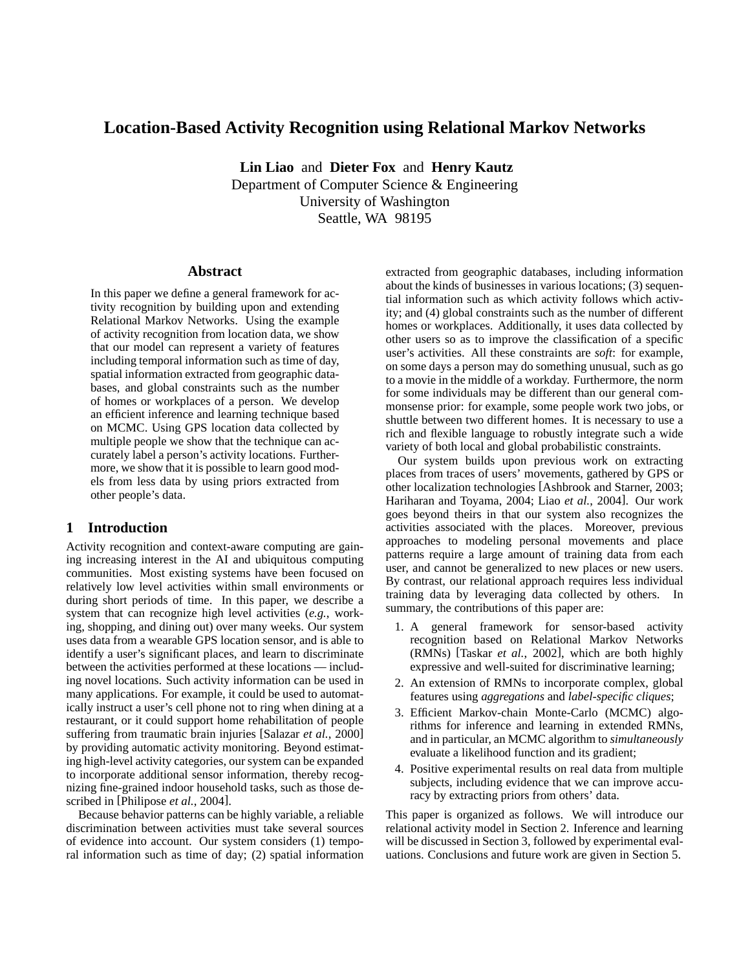# **Location-Based Activity Recognition using Relational Markov Networks**

**Lin Liao** and **Dieter Fox** and **Henry Kautz** Department of Computer Science & Engineering University of Washington Seattle, WA 98195

### **Abstract**

In this paper we define a general framework for activity recognition by building upon and extending Relational Markov Networks. Using the example of activity recognition from location data, we show that our model can represent a variety of features including temporal information such as time of day, spatial information extracted from geographic databases, and global constraints such as the number of homes or workplaces of a person. We develop an efficient inference and learning technique based on MCMC. Using GPS location data collected by multiple people we show that the technique can accurately label a person's activity locations. Furthermore, we show that it is possible to learn good models from less data by using priors extracted from other people's data.

## **1 Introduction**

Activity recognition and context-aware computing are gaining increasing interest in the AI and ubiquitous computing communities. Most existing systems have been focused on relatively low level activities within small environments or during short periods of time. In this paper, we describe a system that can recognize high level activities (*e.g.*, working, shopping, and dining out) over many weeks. Our system uses data from a wearable GPS location sensor, and is able to identify a user's significant places, and learn to discriminate between the activities performed at these locations — including novel locations. Such activity information can be used in many applications. For example, it could be used to automatically instruct a user's cell phone not to ring when dining at a restaurant, or it could support home rehabilitation of people suffering from traumatic brain injuries [Salazar *et al.*, 2000] by providing automatic activity monitoring. Beyond estimating high-level activity categories, our system can be expanded to incorporate additional sensor information, thereby recognizing fine-grained indoor household tasks, such as those described in [Philipose *et al.*, 2004].

Because behavior patterns can be highly variable, a reliable discrimination between activities must take several sources of evidence into account. Our system considers (1) temporal information such as time of day; (2) spatial information extracted from geographic databases, including information about the kinds of businesses in various locations; (3) sequential information such as which activity follows which activity; and (4) global constraints such as the number of different homes or workplaces. Additionally, it uses data collected by other users so as to improve the classification of a specific user's activities. All these constraints are *soft*: for example, on some days a person may do something unusual, such as go to a movie in the middle of a workday. Furthermore, the norm for some individuals may be different than our general commonsense prior: for example, some people work two jobs, or shuttle between two different homes. It is necessary to use a rich and flexible language to robustly integrate such a wide variety of both local and global probabilistic constraints.

Our system builds upon previous work on extracting places from traces of users' movements, gathered by GPS or other localization technologies [Ashbrook and Starner, 2003; Hariharan and Toyama, 2004; Liao *et al.*, 2004]. Our work goes beyond theirs in that our system also recognizes the activities associated with the places. Moreover, previous approaches to modeling personal movements and place patterns require a large amount of training data from each user, and cannot be generalized to new places or new users. By contrast, our relational approach requires less individual training data by leveraging data collected by others. In summary, the contributions of this paper are:

- 1. A general framework for sensor-based activity recognition based on Relational Markov Networks (RMNs) [Taskar *et al.*, 2002], which are both highly expressive and well-suited for discriminative learning;
- 2. An extension of RMNs to incorporate complex, global features using *aggregations* and *label-specific cliques*;
- 3. Efficient Markov-chain Monte-Carlo (MCMC) algorithms for inference and learning in extended RMNs, and in particular, an MCMC algorithm to *simultaneously* evaluate a likelihood function and its gradient;
- 4. Positive experimental results on real data from multiple subjects, including evidence that we can improve accuracy by extracting priors from others' data.

This paper is organized as follows. We will introduce our relational activity model in Section 2. Inference and learning will be discussed in Section 3, followed by experimental evaluations. Conclusions and future work are given in Section 5.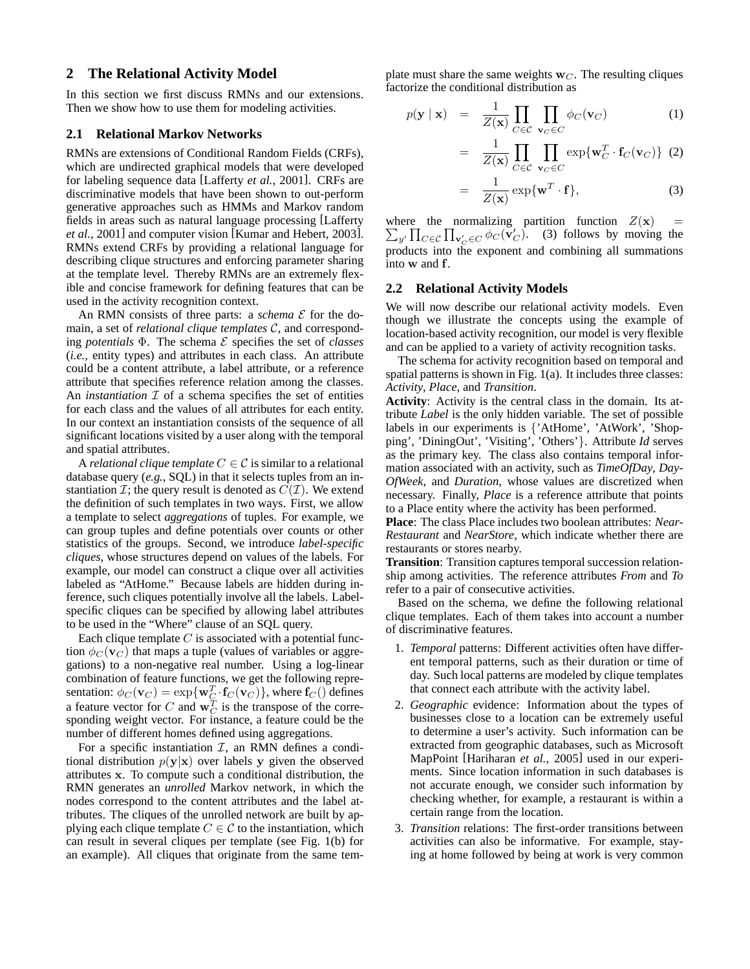# **2 The Relational Activity Model**

In this section we first discuss RMNs and our extensions. Then we show how to use them for modeling activities.

### **2.1 Relational Markov Networks**

RMNs are extensions of Conditional Random Fields (CRFs), which are undirected graphical models that were developed for labeling sequence data [Lafferty *et al.*, 2001]. CRFs are discriminative models that have been shown to out-perform generative approaches such as HMMs and Markov random fields in areas such as natural language processing [Lafferty *et al.*, 2001] and computer vision [Kumar and Hebert, 2003]. RMNs extend CRFs by providing a relational language for describing clique structures and enforcing parameter sharing at the template level. Thereby RMNs are an extremely flexible and concise framework for defining features that can be used in the activity recognition context.

An RMN consists of three parts: a *schema*  $\mathcal E$  for the domain, a set of *relational clique templates* C, and corresponding *potentials*  $\Phi$ . The schema  $\mathcal E$  specifies the set of *classes* (*i.e.*, entity types) and attributes in each class. An attribute could be a content attribute, a label attribute, or a reference attribute that specifies reference relation among the classes. An *instantiation*  $I$  of a schema specifies the set of entities for each class and the values of all attributes for each entity. In our context an instantiation consists of the sequence of all significant locations visited by a user along with the temporal and spatial attributes.

A *relational clique template*  $C \in \mathcal{C}$  is similar to a relational database query (*e.g.*, SQL) in that it selects tuples from an instantiation  $\mathcal{I}$ ; the query result is denoted as  $C(\mathcal{I})$ . We extend the definition of such templates in two ways. First, we allow a template to select *aggregations* of tuples. For example, we can group tuples and define potentials over counts or other statistics of the groups. Second, we introduce *label-specific cliques*, whose structures depend on values of the labels. For example, our model can construct a clique over all activities labeled as "AtHome." Because labels are hidden during inference, such cliques potentially involve all the labels. Labelspecific cliques can be specified by allowing label attributes to be used in the "Where" clause of an SQL query.

Each clique template  $C$  is associated with a potential function  $\phi_C(\mathbf{v}_C)$  that maps a tuple (values of variables or aggregations) to a non-negative real number. Using a log-linear combination of feature functions, we get the following representation:  $\phi_C(\mathbf{v}_C) = \exp{\{\mathbf{w}_C^T \cdot \mathbf{f}_C(\mathbf{v}_C)\}}$ , where  $\mathbf{f}_C()$  defines a feature vector for C and  $\mathbf{w}_C^T$  is the transpose of the corresponding weight vector. For instance, a feature could be the number of different homes defined using aggregations.

For a specific instantiation  $I$ , an RMN defines a conditional distribution  $p(y|x)$  over labels y given the observed attributes x. To compute such a conditional distribution, the RMN generates an *unrolled* Markov network, in which the nodes correspond to the content attributes and the label attributes. The cliques of the unrolled network are built by applying each clique template  $C \in \mathcal{C}$  to the instantiation, which can result in several cliques per template (see Fig. 1(b) for an example). All cliques that originate from the same template must share the same weights  $w<sub>C</sub>$ . The resulting cliques factorize the conditional distribution as

$$
p(\mathbf{y} \mid \mathbf{x}) = \frac{1}{Z(\mathbf{x})} \prod_{C \in \mathcal{C}} \prod_{\mathbf{v}_C \in C} \phi_C(\mathbf{v}_C) \tag{1}
$$

$$
= \frac{1}{Z(\mathbf{x})} \prod_{C \in \mathcal{C}} \prod_{\mathbf{v}_C \in C} \exp\{\mathbf{w}_C^T \cdot \mathbf{f}_C(\mathbf{v}_C)\} \tag{2}
$$

$$
= \frac{1}{Z(\mathbf{x})} \exp{\{\mathbf{w}^T \cdot \mathbf{f}\}}, \tag{3}
$$

where the normalizing partition function  $Z(\mathbf{x})$  =  $\sum_{y'} \prod_{C \in \mathcal{C}} \prod_{\mathbf{v}_C' \in C} \phi_C(\mathbf{v}_C')$ . (3) follows by moving the products into the exponent and combining all summations into w and f.

### **2.2 Relational Activity Models**

We will now describe our relational activity models. Even though we illustrate the concepts using the example of location-based activity recognition, our model is very flexible and can be applied to a variety of activity recognition tasks.

The schema for activity recognition based on temporal and spatial patterns is shown in Fig. 1(a). It includes three classes: *Activity*, *Place*, and *Transition*.

**Activity**: Activity is the central class in the domain. Its attribute *Label* is the only hidden variable. The set of possible labels in our experiments is {'AtHome', 'AtWork', 'Shopping', 'DiningOut', 'Visiting', 'Others'}. Attribute *Id* serves as the primary key. The class also contains temporal information associated with an activity, such as *TimeOfDay*, *Day-OfWeek*, and *Duration*, whose values are discretized when necessary. Finally, *Place* is a reference attribute that points to a Place entity where the activity has been performed.

**Place**: The class Place includes two boolean attributes: *Near-Restaurant* and *NearStore*, which indicate whether there are restaurants or stores nearby.

**Transition**: Transition captures temporal succession relationship among activities. The reference attributes *From* and *To* refer to a pair of consecutive activities.

Based on the schema, we define the following relational clique templates. Each of them takes into account a number of discriminative features.

- 1. *Temporal* patterns: Different activities often have different temporal patterns, such as their duration or time of day. Such local patterns are modeled by clique templates that connect each attribute with the activity label.
- 2. *Geographic* evidence: Information about the types of businesses close to a location can be extremely useful to determine a user's activity. Such information can be extracted from geographic databases, such as Microsoft MapPoint [Hariharan *et al.*, 2005] used in our experiments. Since location information in such databases is not accurate enough, we consider such information by checking whether, for example, a restaurant is within a certain range from the location.
- 3. *Transition* relations: The first-order transitions between activities can also be informative. For example, staying at home followed by being at work is very common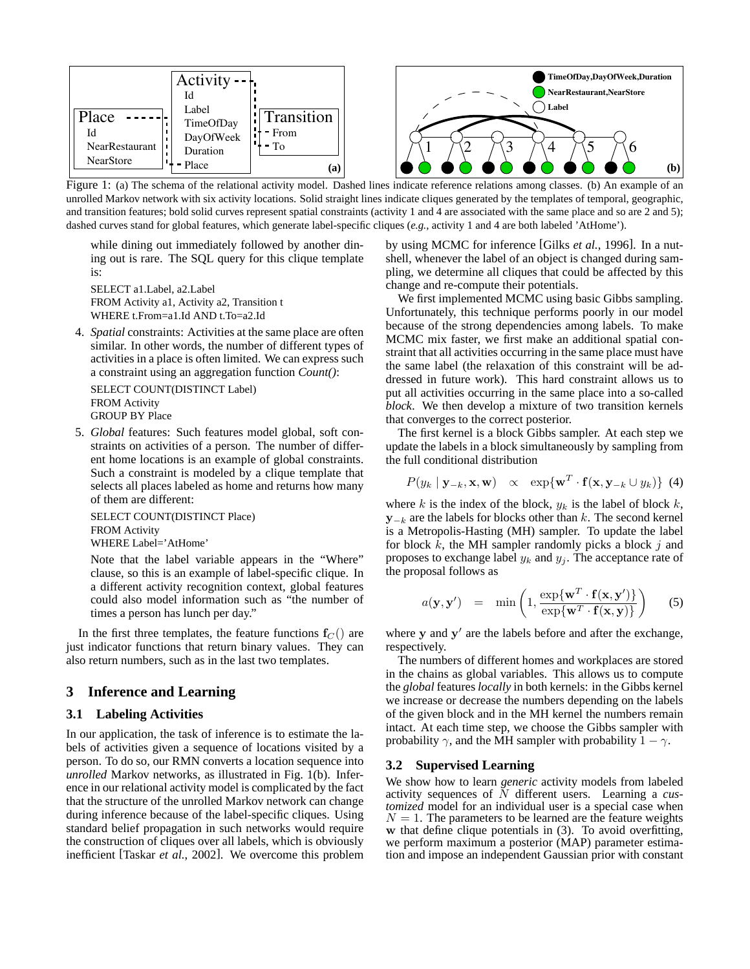

Figure 1: (a) The schema of the relational activity model. Dashed lines indicate reference relations among classes. (b) An example of an unrolled Markov network with six activity locations. Solid straight lines indicate cliques generated by the templates of temporal, geographic, and transition features; bold solid curves represent spatial constraints (activity 1 and 4 are associated with the same place and so are 2 and 5); dashed curves stand for global features, which generate label-specific cliques (*e.g.*, activity 1 and 4 are both labeled 'AtHome').

while dining out immediately followed by another dining out is rare. The SQL query for this clique template is:

SELECT a1.Label, a2.Label FROM Activity a1, Activity a2, Transition t WHERE t.From=a1.Id AND t.To=a2.Id

4. *Spatial* constraints: Activities at the same place are often similar. In other words, the number of different types of activities in a place is often limited. We can express such a constraint using an aggregation function *Count()*:

SELECT COUNT(DISTINCT Label) FROM Activity GROUP BY Place

5. *Global* features: Such features model global, soft constraints on activities of a person. The number of different home locations is an example of global constraints. Such a constraint is modeled by a clique template that selects all places labeled as home and returns how many of them are different:

SELECT COUNT(DISTINCT Place) FROM Activity WHERE Label='AtHome'

Note that the label variable appears in the "Where" clause, so this is an example of label-specific clique. In a different activity recognition context, global features could also model information such as "the number of times a person has lunch per day."

In the first three templates, the feature functions  $f_C()$  are just indicator functions that return binary values. They can also return numbers, such as in the last two templates.

# **3 Inference and Learning**

# **3.1 Labeling Activities**

In our application, the task of inference is to estimate the labels of activities given a sequence of locations visited by a person. To do so, our RMN converts a location sequence into *unrolled* Markov networks, as illustrated in Fig. 1(b). Inference in our relational activity model is complicated by the fact that the structure of the unrolled Markov network can change during inference because of the label-specific cliques. Using standard belief propagation in such networks would require the construction of cliques over all labels, which is obviously inefficient [Taskar *et al.*, 2002]. We overcome this problem by using MCMC for inference [Gilks *et al.*, 1996]. In a nutshell, whenever the label of an object is changed during sampling, we determine all cliques that could be affected by this change and re-compute their potentials.

We first implemented MCMC using basic Gibbs sampling. Unfortunately, this technique performs poorly in our model because of the strong dependencies among labels. To make MCMC mix faster, we first make an additional spatial constraint that all activities occurring in the same place must have the same label (the relaxation of this constraint will be addressed in future work). This hard constraint allows us to put all activities occurring in the same place into a so-called *block*. We then develop a mixture of two transition kernels that converges to the correct posterior.

The first kernel is a block Gibbs sampler. At each step we update the labels in a block simultaneously by sampling from the full conditional distribution

$$
P(y_k | \mathbf{y}_{-k}, \mathbf{x}, \mathbf{w}) \propto \exp{\{\mathbf{w}^T \cdot \mathbf{f}(\mathbf{x}, \mathbf{y}_{-k} \cup y_k)\}} \tag{4}
$$

where k is the index of the block,  $y_k$  is the label of block  $k$ ,  $y_{-k}$  are the labels for blocks other than k. The second kernel is a Metropolis-Hasting (MH) sampler. To update the label for block  $k$ , the MH sampler randomly picks a block  $j$  and proposes to exchange label  $y_k$  and  $y_j$ . The acceptance rate of the proposal follows as

$$
a(\mathbf{y}, \mathbf{y}') = \min\left(1, \frac{\exp\{\mathbf{w}^T \cdot \mathbf{f}(\mathbf{x}, \mathbf{y}')\}}{\exp\{\mathbf{w}^T \cdot \mathbf{f}(\mathbf{x}, \mathbf{y})\}}\right) \quad (5)
$$

where  $y$  and  $y'$  are the labels before and after the exchange, respectively.

The numbers of different homes and workplaces are stored in the chains as global variables. This allows us to compute the *global* features *locally* in both kernels: in the Gibbs kernel we increase or decrease the numbers depending on the labels of the given block and in the MH kernel the numbers remain intact. At each time step, we choose the Gibbs sampler with probability  $\gamma$ , and the MH sampler with probability  $1 - \gamma$ .

## **3.2 Supervised Learning**

We show how to learn *generic* activity models from labeled activity sequences of N different users. Learning a *customized* model for an individual user is a special case when  $N = 1$ . The parameters to be learned are the feature weights w that define clique potentials in  $(3)$ . To avoid overfitting, we perform maximum a posterior (MAP) parameter estimation and impose an independent Gaussian prior with constant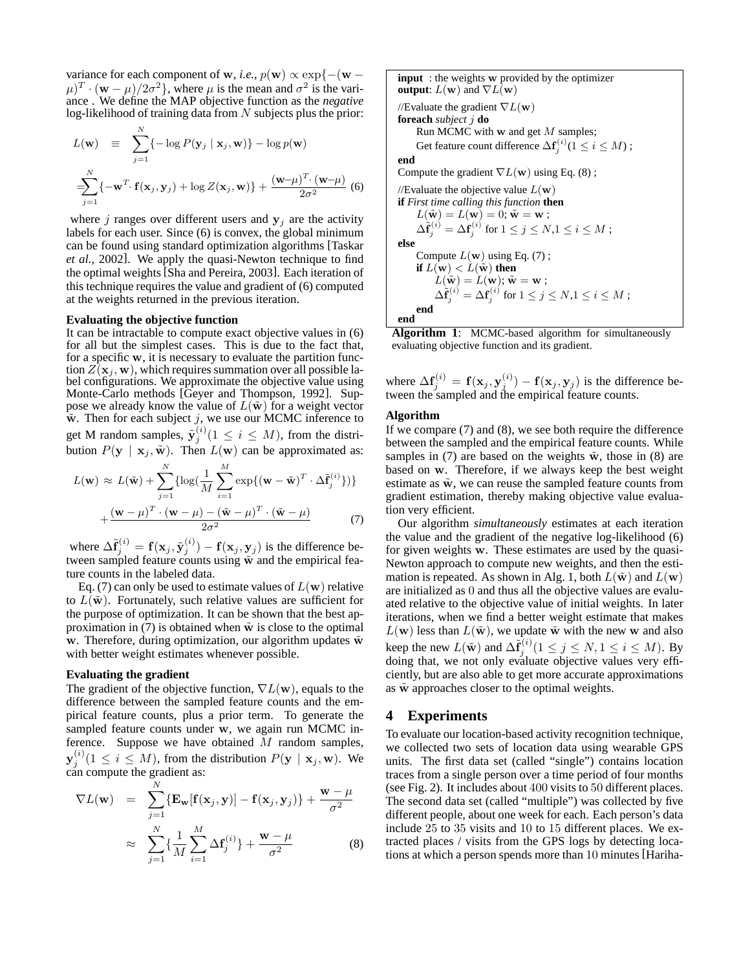variance for each component of **w**, *i.e.*,  $p(\mathbf{w}) \propto \exp\{-\mathbf{w} - \mathbf{w}\}$  $(\mu)^T \cdot (\mathbf{w} - \mu)/2\sigma^2$ , where  $\mu$  is the mean and  $\sigma^2$  is the variance . We define the MAP objective function as the *negative* log-likelihood of training data from  $N$  subjects plus the prior:

$$
L(\mathbf{w}) = \sum_{j=1}^{N} \{-\log P(\mathbf{y}_j \mid \mathbf{x}_j, \mathbf{w})\} - \log p(\mathbf{w})
$$
  

$$
= \sum_{j=1}^{N} \{-\mathbf{w}^T \cdot \mathbf{f}(\mathbf{x}_j, \mathbf{y}_j) + \log Z(\mathbf{x}_j, \mathbf{w})\} + \frac{(\mathbf{w} - \mu)^T \cdot (\mathbf{w} - \mu)}{2\sigma^2} \tag{6}
$$

where j ranges over different users and  $y_j$  are the activity labels for each user. Since (6) is convex, the global minimum can be found using standard optimization algorithms [Taskar *et al.*, 2002]. We apply the quasi-Newton technique to find the optimal weights [Sha and Pereira, 2003]. Each iteration of this technique requires the value and gradient of (6) computed at the weights returned in the previous iteration.

### **Evaluating the objective function**

It can be intractable to compute exact objective values in (6) for all but the simplest cases. This is due to the fact that, for a specific w, it is necessary to evaluate the partition function  $Z(\mathbf{x}_j, \mathbf{w})$ , which requires summation over all possible label configurations. We approximate the objective value using Monte-Carlo methods [Geyer and Thompson, 1992]. Suppose we already know the value of  $L(\tilde{\mathbf{w}})$  for a weight vector  $\tilde{w}$ . Then for each subject j, we use our MCMC inference to get M random samples,  $\tilde{\mathbf{y}}_j^{(i)}$  ( $1 \le i \le M$ ), from the distribution  $P(\mathbf{y} | \mathbf{x}_j, \tilde{\mathbf{w}})$ . Then  $L(\mathbf{w})$  can be approximated as:

$$
L(\mathbf{w}) \approx L(\tilde{\mathbf{w}}) + \sum_{j=1}^{N} \{ \log(\frac{1}{M} \sum_{i=1}^{M} \exp\{ (\mathbf{w} - \tilde{\mathbf{w}})^{T} \cdot \Delta \tilde{\mathbf{f}}_{j}^{(i)} \}) \} + \frac{(\mathbf{w} - \mu)^{T} \cdot (\mathbf{w} - \mu) - (\tilde{\mathbf{w}} - \mu)^{T} \cdot (\tilde{\mathbf{w}} - \mu)}{2\sigma^{2}}
$$
(7)

where  $\Delta \tilde{\mathbf{f}}_j^{(i)} = \mathbf{f}(\mathbf{x}_j, \tilde{\mathbf{y}}_j^{(i)}) - \mathbf{f}(\mathbf{x}_j, \mathbf{y}_j)$  is the difference between sampled feature counts using  $\tilde{w}$  and the empirical feature counts in the labeled data.

Eq. (7) can only be used to estimate values of  $L(\mathbf{w})$  relative to  $L(\tilde{\mathbf{w}})$ . Fortunately, such relative values are sufficient for the purpose of optimization. It can be shown that the best approximation in  $(7)$  is obtained when  $\tilde{w}$  is close to the optimal w. Therefore, during optimization, our algorithm updates  $\tilde{w}$ with better weight estimates whenever possible.

#### **Evaluating the gradient**

The gradient of the objective function,  $\nabla L(\mathbf{w})$ , equals to the difference between the sampled feature counts and the empirical feature counts, plus a prior term. To generate the sampled feature counts under w, we again run MCMC inference. Suppose we have obtained M random samples,  $\mathbf{y}_{j}^{(i)}(1 \leq i \leq M)$ , from the distribution  $P(\mathbf{y} \mid \mathbf{x}_{j}, \mathbf{w})$ . We can compute the gradient as:

$$
\nabla L(\mathbf{w}) = \sum_{j=1}^{N} \{ \mathbf{E}_{\mathbf{w}}[\mathbf{f}(\mathbf{x}_j, \mathbf{y})] - \mathbf{f}(\mathbf{x}_j, \mathbf{y}_j) \} + \frac{\mathbf{w} - \mu}{\sigma^2}
$$

$$
\approx \sum_{j=1}^{N} \{ \frac{1}{M} \sum_{i=1}^{M} \Delta \mathbf{f}_j^{(i)} \} + \frac{\mathbf{w} - \mu}{\sigma^2}
$$
(8)

**input** : the weights w provided by the optimizer **output**:  $L(\mathbf{w})$  and  $\nabla L(\mathbf{w})$ //Evaluate the gradient  $\nabla L(\mathbf{w})$ **foreach** *subject* j **do** Run MCMC with  **and get**  $M$  **samples;** Get feature count difference  $\Delta \mathbf{f}^{(i)}_j (1 \leq i \leq M)$  ; **end** Compute the gradient  $\nabla L(\mathbf{w})$  using Eq. (8); //Evaluate the objective value  $L(\mathbf{w})$ **if** *First time calling this function* **then**  $L(\tilde{\mathbf{w}}) = L(\mathbf{w}) = 0; \tilde{\mathbf{w}} = \mathbf{w}$ ;  $\Delta\tilde{\mathbf{f}}_{j}^{(i)} = \Delta\mathbf{f}_{j}^{(i)}$  for  $1 \leq j \leq N, 1 \leq i \leq M$  ; **else** Compute  $L(\mathbf{w})$  using Eq. (7); **if**  $L(\mathbf{w}) < L(\tilde{\mathbf{w}})$  then  $L(\tilde{\mathbf{w}}) = L(\mathbf{w}); \tilde{\mathbf{w}} = \mathbf{w}$  ;  $\Delta\tilde{\mathbf{f}}_{j}^{(i)} = \Delta\mathbf{f}_{j}^{(i)}$  for  $1 \leq j \leq N, 1 \leq i \leq M$  ; **end end**

**Algorithm 1**: MCMC-based algorithm for simultaneously evaluating objective function and its gradient.

where  $\Delta \mathbf{f}_j^{(i)} = \mathbf{f}(\mathbf{x}_j, \mathbf{y}_j^{(i)}) - \mathbf{f}(\mathbf{x}_j, \mathbf{y}_j)$  is the difference between the sampled and the empirical feature counts.

### **Algorithm**

If we compare (7) and (8), we see both require the difference between the sampled and the empirical feature counts. While samples in (7) are based on the weights  $\tilde{w}$ , those in (8) are based on w. Therefore, if we always keep the best weight estimate as  $\tilde{w}$ , we can reuse the sampled feature counts from gradient estimation, thereby making objective value evaluation very efficient.

Our algorithm *simultaneously* estimates at each iteration the value and the gradient of the negative log-likelihood (6) for given weights w. These estimates are used by the quasi-Newton approach to compute new weights, and then the estimation is repeated. As shown in Alg. 1, both  $L(\tilde{\mathbf{w}})$  and  $L(\mathbf{w})$ are initialized as 0 and thus all the objective values are evaluated relative to the objective value of initial weights. In later iterations, when we find a better weight estimate that makes  $L(\mathbf{w})$  less than  $L(\tilde{\mathbf{w}})$ , we update  $\tilde{\mathbf{w}}$  with the new w and also keep the new  $L(\tilde{\mathbf{w}})$  and  $\Delta \tilde{\mathbf{f}}_j^{(i)} (1 \leq j \leq N, 1 \leq i \leq M)$ . By doing that, we not only evaluate objective values very efficiently, but are also able to get more accurate approximations as  $\tilde{w}$  approaches closer to the optimal weights.

### **4 Experiments**

To evaluate our location-based activity recognition technique, we collected two sets of location data using wearable GPS units. The first data set (called "single") contains location traces from a single person over a time period of four months (see Fig. 2). It includes about 400 visits to 50 different places. The second data set (called "multiple") was collected by five different people, about one week for each. Each person's data include 25 to 35 visits and 10 to 15 different places. We extracted places / visits from the GPS logs by detecting locations at which a person spends more than 10 minutes [Hariha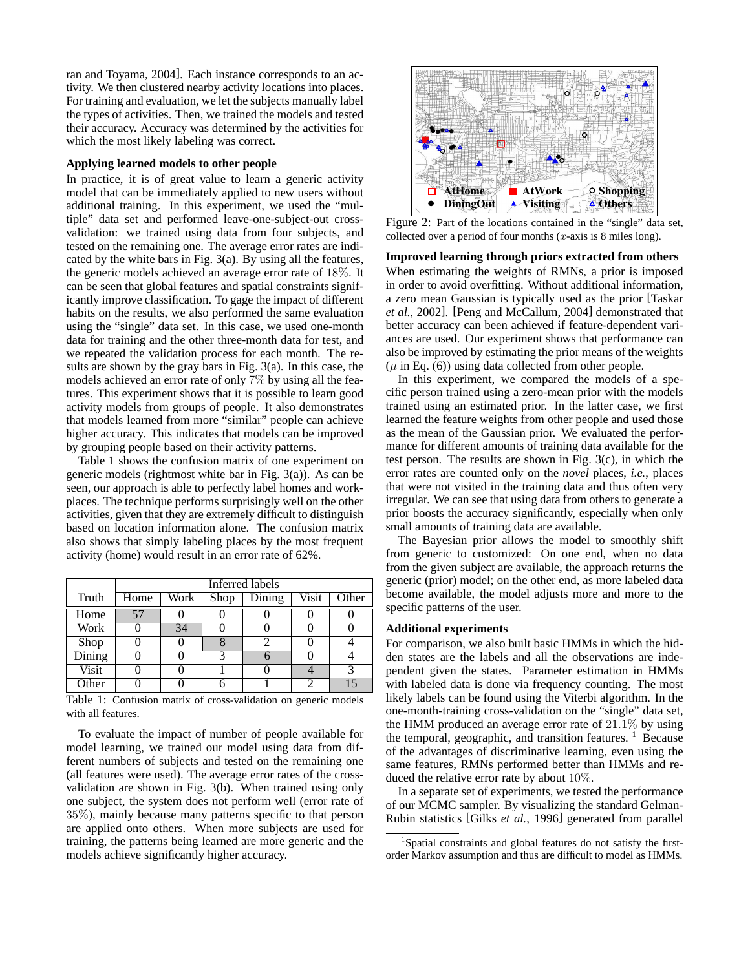ran and Toyama, 2004]. Each instance corresponds to an activity. We then clustered nearby activity locations into places. For training and evaluation, we let the subjects manually label the types of activities. Then, we trained the models and tested their accuracy. Accuracy was determined by the activities for which the most likely labeling was correct.

### **Applying learned models to other people**

In practice, it is of great value to learn a generic activity model that can be immediately applied to new users without additional training. In this experiment, we used the "multiple" data set and performed leave-one-subject-out crossvalidation: we trained using data from four subjects, and tested on the remaining one. The average error rates are indicated by the white bars in Fig. 3(a). By using all the features, the generic models achieved an average error rate of 18%. It can be seen that global features and spatial constraints significantly improve classification. To gage the impact of different habits on the results, we also performed the same evaluation using the "single" data set. In this case, we used one-month data for training and the other three-month data for test, and we repeated the validation process for each month. The results are shown by the gray bars in Fig. 3(a). In this case, the models achieved an error rate of only 7% by using all the features. This experiment shows that it is possible to learn good activity models from groups of people. It also demonstrates that models learned from more "similar" people can achieve higher accuracy. This indicates that models can be improved by grouping people based on their activity patterns.

Table 1 shows the confusion matrix of one experiment on generic models (rightmost white bar in Fig. 3(a)). As can be seen, our approach is able to perfectly label homes and workplaces. The technique performs surprisingly well on the other activities, given that they are extremely difficult to distinguish based on location information alone. The confusion matrix also shows that simply labeling places by the most frequent activity (home) would result in an error rate of 62%.

|              | Inferred labels |      |      |        |       |       |
|--------------|-----------------|------|------|--------|-------|-------|
| Truth        | Home            | Work | Shop | Dining | Visit | Other |
| Home         | 57              |      |      |        |       |       |
| Work         |                 | 34   |      |        |       |       |
| Shop         |                 |      |      |        |       |       |
| Dining       |                 |      | 2    |        |       |       |
| <b>Visit</b> |                 |      |      |        |       |       |
| <b>Other</b> |                 |      |      |        |       |       |

Table 1: Confusion matrix of cross-validation on generic models with all features.

To evaluate the impact of number of people available for model learning, we trained our model using data from different numbers of subjects and tested on the remaining one (all features were used). The average error rates of the crossvalidation are shown in Fig. 3(b). When trained using only one subject, the system does not perform well (error rate of 35%), mainly because many patterns specific to that person are applied onto others. When more subjects are used for training, the patterns being learned are more generic and the models achieve significantly higher accuracy.



Figure 2: Part of the locations contained in the "single" data set, collected over a period of four months  $(x\text{-axis is 8 miles long})$ .

#### **Improved learning through priors extracted from others**

When estimating the weights of RMNs, a prior is imposed in order to avoid overfitting. Without additional information, a zero mean Gaussian is typically used as the prior [Taskar *et al.*, 2002]. [Peng and McCallum, 2004] demonstrated that better accuracy can been achieved if feature-dependent variances are used. Our experiment shows that performance can also be improved by estimating the prior means of the weights  $(\mu$  in Eq. (6)) using data collected from other people.

In this experiment, we compared the models of a specific person trained using a zero-mean prior with the models trained using an estimated prior. In the latter case, we first learned the feature weights from other people and used those as the mean of the Gaussian prior. We evaluated the performance for different amounts of training data available for the test person. The results are shown in Fig. 3(c), in which the error rates are counted only on the *novel* places, *i.e.*, places that were not visited in the training data and thus often very irregular. We can see that using data from others to generate a prior boosts the accuracy significantly, especially when only small amounts of training data are available.

The Bayesian prior allows the model to smoothly shift from generic to customized: On one end, when no data from the given subject are available, the approach returns the generic (prior) model; on the other end, as more labeled data become available, the model adjusts more and more to the specific patterns of the user.

### **Additional experiments**

For comparison, we also built basic HMMs in which the hidden states are the labels and all the observations are independent given the states. Parameter estimation in HMMs with labeled data is done via frequency counting. The most likely labels can be found using the Viterbi algorithm. In the one-month-training cross-validation on the "single" data set, the HMM produced an average error rate of 21.1% by using the temporal, geographic, and transition features.  $\frac{1}{1}$  Because of the advantages of discriminative learning, even using the same features, RMNs performed better than HMMs and reduced the relative error rate by about 10%.

In a separate set of experiments, we tested the performance of our MCMC sampler. By visualizing the standard Gelman-Rubin statistics [Gilks *et al.*, 1996] generated from parallel

<sup>&</sup>lt;sup>1</sup>Spatial constraints and global features do not satisfy the firstorder Markov assumption and thus are difficult to model as HMMs.